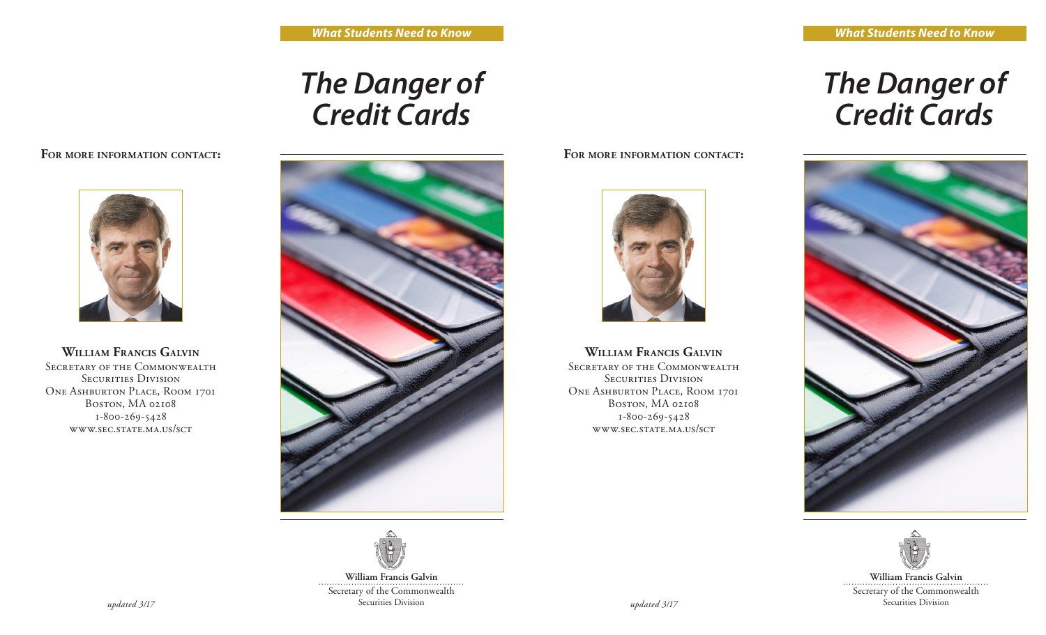## *The Danger of Credit Cards*

## **For more information contact:**



## **William Francis Galvin**

SECRETARY OF THE COMMONWEALTH SECURITIES DIVISION ONE ASHBURTON PLACE, ROOM 1701 Boston, MA 02108 1-800-269-5428 www.sec.state.ma.us/sct





**William Francis Galvin** Secretary of the Commonwealth<br>Securities Division *updated 3/17* Securities Division *updated 3/17*